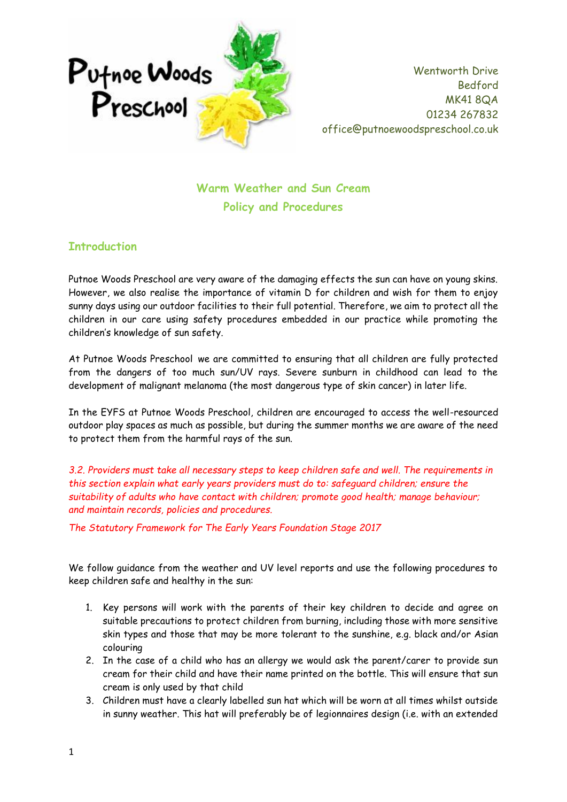

Wentworth Drive Bedford MK41 8QA 01234 267832 office@putnoewoodspreschool.co.uk

**Warm Weather and Sun Cream Policy and Procedures**

## **Introduction**

Putnoe Woods Preschool are very aware of the damaging effects the sun can have on young skins. However, we also realise the importance of vitamin D for children and wish for them to enjoy sunny days using our outdoor facilities to their full potential. Therefore, we aim to protect all the children in our care using safety procedures embedded in our practice while promoting the children's knowledge of sun safety.

At Putnoe Woods Preschool we are committed to ensuring that all children are fully protected from the dangers of too much sun/UV rays. Severe sunburn in childhood can lead to the development of malignant melanoma (the most dangerous type of skin cancer) in later life.

In the EYFS at Putnoe Woods Preschool, children are encouraged to access the well-resourced outdoor play spaces as much as possible, but during the summer months we are aware of the need to protect them from the harmful rays of the sun.

*3.2. Providers must take all necessary steps to keep children safe and well. The requirements in this section explain what early years providers must do to: safeguard children; ensure the suitability of adults who have contact with children; promote good health; manage behaviour; and maintain records, policies and procedures.* 

*The Statutory Framework for The Early Years Foundation Stage 2017*

We follow guidance from the weather and UV level reports and use the following procedures to keep children safe and healthy in the sun:

- 1. Key persons will work with the parents of their key children to decide and agree on suitable precautions to protect children from burning, including those with more sensitive skin types and those that may be more tolerant to the sunshine, e.g. black and/or Asian colouring
- 2. In the case of a child who has an allergy we would ask the parent/carer to provide sun cream for their child and have their name printed on the bottle. This will ensure that sun cream is only used by that child
- 3. Children must have a clearly labelled sun hat which will be worn at all times whilst outside in sunny weather. This hat will preferably be of legionnaires design (i.e. with an extended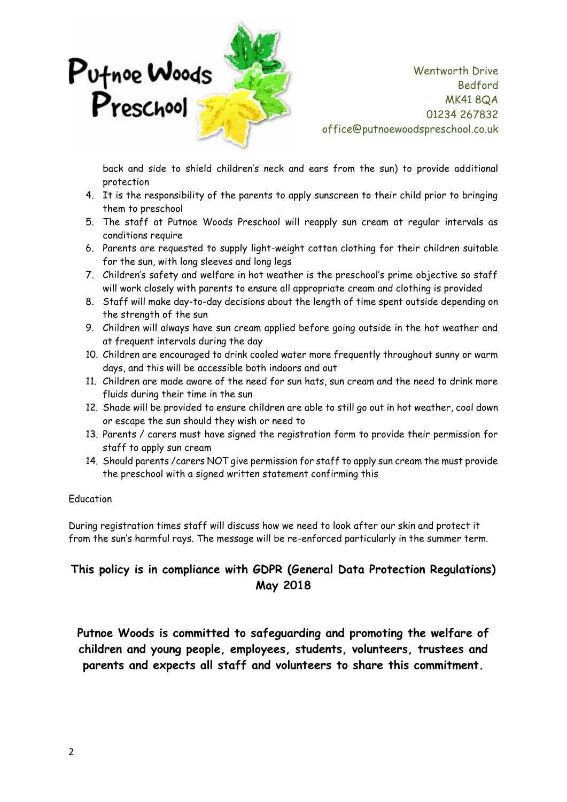

Wentworth Drive Bedford MK41 8QA 01234 267832 office@putnoewoodspreschool.co.uk

back and side to shield children's neck and ears from the sun) to provide additional protection

- 4. It is the responsibility of the parents to apply sunscreen to their child prior to bringing them to preschool
- 5. The staff at Putnoe Woods Preschool will reapply sun cream at regular intervals as conditions require
- 6. Parents are requested to supply light-weight cotton clothing for their children suitable for the sun, with long sleeves and long legs
- 7. Children's safety and welfare in hot weather is the preschool's prime objective so staff will work closely with parents to ensure all appropriate cream and clothing is provided
- 8. Staff will make day-to-day decisions about the length of time spent outside depending on the strength of the sun
- 9. Children will always have sun cream applied before going outside in the hot weather and at frequent intervals during the day
- 10. Children are encouraged to drink cooled water more frequently throughout sunny or warm days, and this will be accessible both indoors and out
- 11. Children are made aware of the need for sun hats, sun cream and the need to drink more fluids during their time in the sun
- 12. Shade will be provided to ensure children are able to still go out in hot weather, cool down or escape the sun should they wish or need to
- 13. Parents / carers must have signed the registration form to provide their permission for staff to apply sun cream
- 14. Should parents /carers NOT give permission for staff to apply sun cream the must provide the preschool with a signed written statement confirming this

## Education

During registration times staff will discuss how we need to look after our skin and protect it from the sun's harmful rays. The message will be re-enforced particularly in the summer term.

## **This policy is in compliance with GDPR (General Data Protection Regulations) May 2018**

**Putnoe Woods is committed to safeguarding and promoting the welfare of children and young people, employees, students, volunteers, trustees and parents and expects all staff and volunteers to share this commitment.**